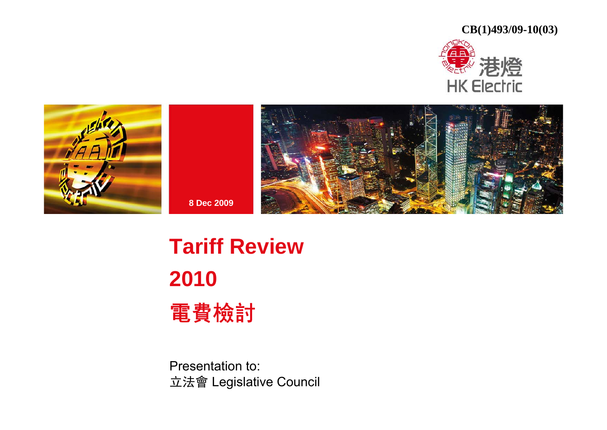**CB(1)493/09-10(03)**







## **Tariff Review 2010**  電費檢討

**8 Dec 2009**

Presentation to: 立法會 Legislative Council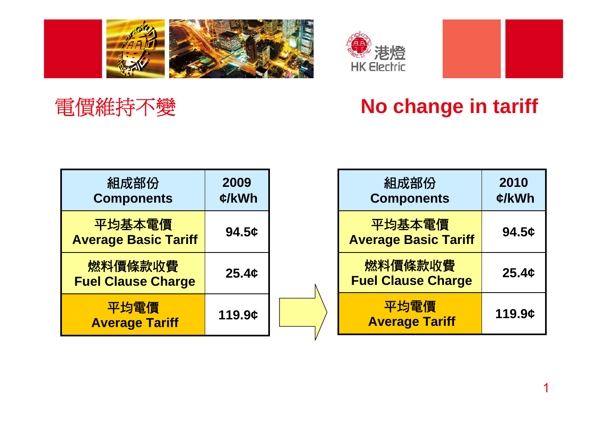



## 電價維持不變

## **No change in tariff**

| 組成部份<br><b>Components</b>             | 2009<br>$\mathcal{L}/kWh$ |  |
|---------------------------------------|---------------------------|--|
| 平均基本電價<br><b>Average Basic Tariff</b> | 94.5c                     |  |
| 燃料價條款收費<br><b>Fuel Clause Charge</b>  | 25.4c                     |  |
| 平均電價<br><b>Average Tariff</b>         | 119.9¢                    |  |

| 組成部份<br><b>Components</b>             | 2010<br>¢/kWh |
|---------------------------------------|---------------|
| 平均基本電價<br><b>Average Basic Tariff</b> | 94.5c         |
| 燃料價條款收費<br><b>Fuel Clause Charge</b>  | 25.4c         |
| 平均電價<br><b>Average Tariff</b>         | 119.9¢        |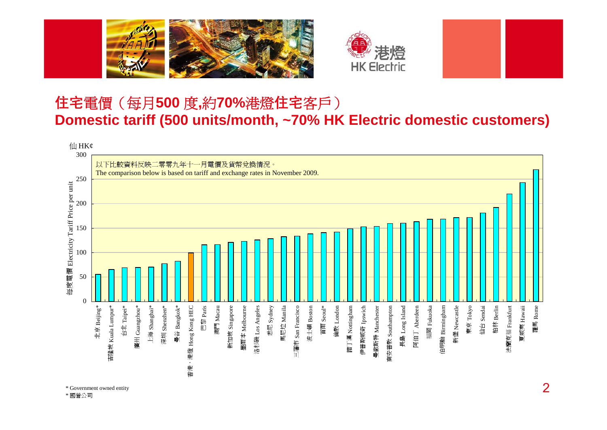



#### 住宅電價(每月**500**  度**,**約**70%**港燈住宅客戶) **Domestic tariff (500 units/month, ~70% HK Electric domestic customers)**

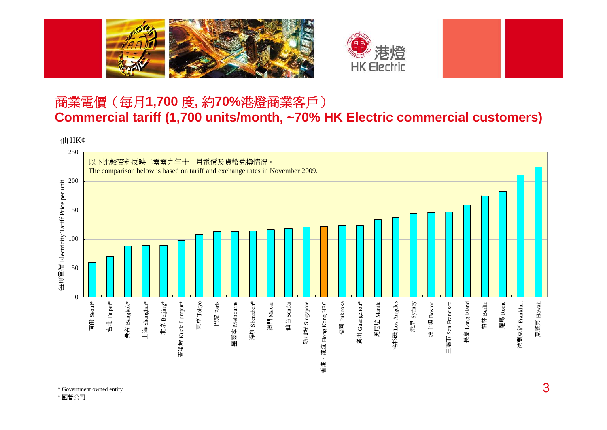



#### 商業電價(每月**1,700**  度**,** 約**70%**港燈商業客戶) **Commercial tariff (1,700 units/month, ~70% HK Electric commercial customers)**

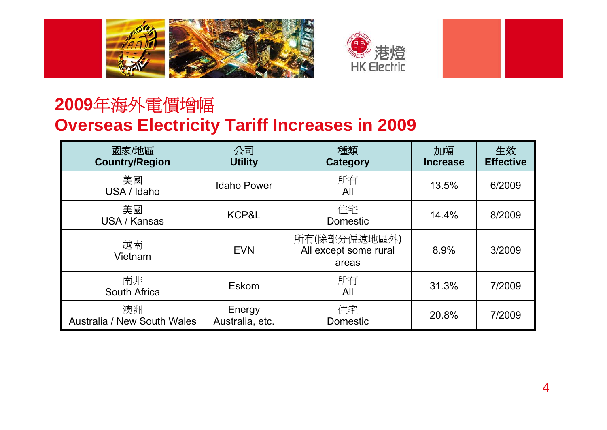



#### **2009**年海外電價增幅 **Overseas Electricity Tariff Increases in 2009**

| 國家/地區<br><b>Country/Region</b>           | 公司<br><b>Utility</b>      | 種類<br><b>Category</b>                          | 加幅<br><b>Increase</b> | 生效<br><b>Effective</b> |
|------------------------------------------|---------------------------|------------------------------------------------|-----------------------|------------------------|
| 美國<br>USA / Idaho                        | <b>Idaho Power</b>        | 所有<br>All                                      | 13.5%                 | 6/2009                 |
| 美國<br>USA / Kansas                       | KCP&L                     | 住宅<br><b>Domestic</b>                          | 14.4%                 | 8/2009                 |
| 越南<br>Vietnam                            | <b>EVN</b>                | 所有(除部分偏遠地區外)<br>All except some rural<br>areas | 8.9%                  | 3/2009                 |
| 南非<br>South Africa                       | Eskom                     | 所有<br>All                                      | 31.3%                 | 7/2009                 |
| 澳洲<br><b>Australia / New South Wales</b> | Energy<br>Australia, etc. | 住宅<br>Domestic                                 | 20.8%                 | 7/2009                 |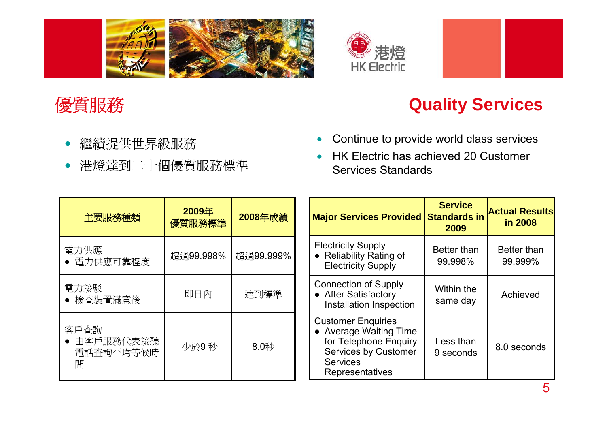



#### 優質服務

#### **Quality Services**

- $\bullet$ 繼續提供世界級服務
- $\bullet$ 港燈達到二十個優質服務標準
- $\bullet$ Continue to provide world class services
- • HK Electric has achieved 20 Customer Services Standards

| 主要服務種類                                | 2009年<br>優質服務標準 | 2008年成績   | <b>Major Services Provided Standards in</b>                                                                                                       | <b>Service</b><br>2009 | <b>Actual Results</b><br>in 2008 |
|---------------------------------------|-----------------|-----------|---------------------------------------------------------------------------------------------------------------------------------------------------|------------------------|----------------------------------|
| 電力供應<br>● 電力供應可靠程度                    | 超過99.998%       | 超過99.999% | <b>Electricity Supply</b><br>• Reliability Rating of<br><b>Electricity Supply</b>                                                                 | Better than<br>99.998% | Better than<br>99.999%           |
| 電力接駁<br>● 檢查裝置滿意後                     | 即日內             | 達到標準      | <b>Connection of Supply</b><br>• After Satisfactory<br>Installation Inspection                                                                    | Within the<br>same day | Achieved                         |
| 客戶查詢<br>• 由客戶服務代表接聽<br>電話查詢平均等候時<br>間 | 少於9秒            | 8.0秒      | <b>Customer Enquiries</b><br>• Average Waiting Time<br>for Telephone Enquiry<br><b>Services by Customer</b><br><b>Services</b><br>Representatives | Less than<br>9 seconds | 8.0 seconds                      |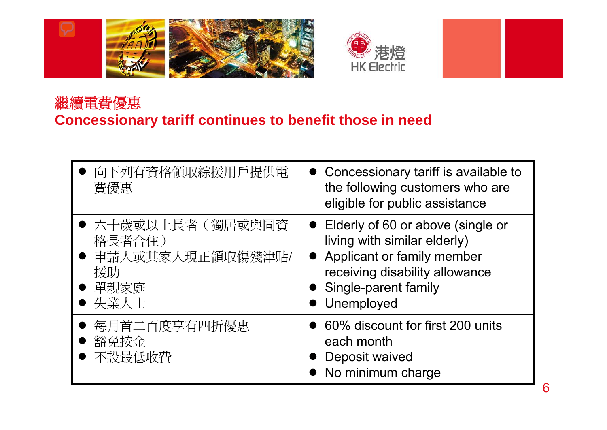



#### 繼續電費優惠 **Concessionary tariff continues to benefit those in need**

| 向下列有資格領取綜援用戶提供電<br>費優惠                                                      | • Concessionary tariff is available to<br>the following customers who are<br>eligible for public assistance                                                                              |
|-----------------------------------------------------------------------------|------------------------------------------------------------------------------------------------------------------------------------------------------------------------------------------|
| ● 六十歲或以上長者(獨居或與同資<br>格長者合住)<br>● 申請人或其家人現正領取傷殘津貼/<br>援助<br>● 單親家庭<br>● 失業人士 | Elderly of 60 or above (single or<br>$\bullet$<br>living with similar elderly)<br>• Applicant or family member<br>receiving disability allowance<br>• Single-parent family<br>Unemployed |
| 每月首二百度享有四折優惠<br>豁孕按金<br>不設最低收費                                              | 60% discount for first 200 units<br>each month<br>Deposit waived<br>• No minimum charge                                                                                                  |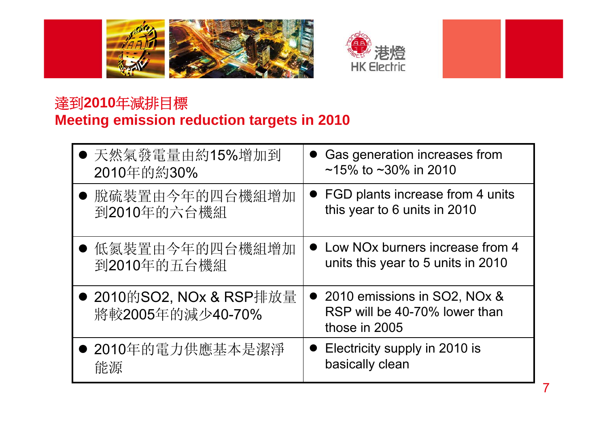



#### 達到**2010**年減排目標 **Meeting emission reduction targets in 2010**

| ● 天然氣發電量由約15%增加到                             | Gas generation increases from                                                    |
|----------------------------------------------|----------------------------------------------------------------------------------|
| 2010年的約30%                                   | ~15% to ~30% in 2010                                                             |
| ● 脱硫裝置由今年的四台機組增加                             | • FGD plants increase from 4 units                                               |
| 到2010年的六台機組                                  | this year to 6 units in 2010                                                     |
| ● 低氮裝置由今年的四台機組增加                             | • Low NO <sub>x</sub> burners increase from 4                                    |
| 到2010年的五台機組                                  | units this year to 5 units in 2010                                               |
| ● 2010的SO2, NOx & RSP排放量<br>將較2005年的減少40-70% | • 2010 emissions in SO2, NOx &<br>RSP will be 40-70% lower than<br>those in 2005 |
| ● 2010年的電力供應基本是潔淨                            | Electricity supply in 2010 is                                                    |
| 能源                                           | basically clean                                                                  |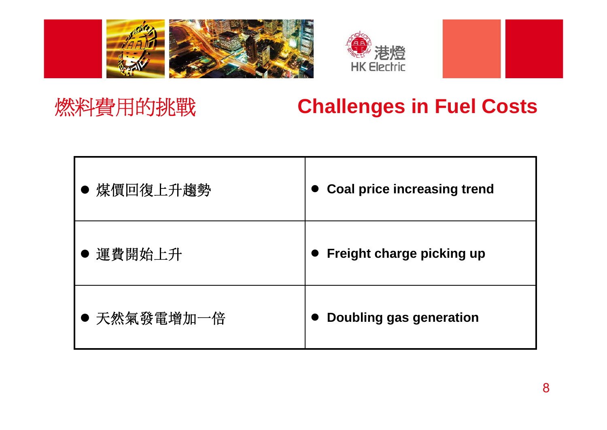



## 燃料費用的挑戰

### **Challenges in Fuel Costs**

| 煤價回復上升趨勢    | <b>Coal price increasing trend</b> |
|-------------|------------------------------------|
| 運費開始上升      | Freight charge picking up          |
| ● 天然氣發電增加一倍 | Doubling gas generation            |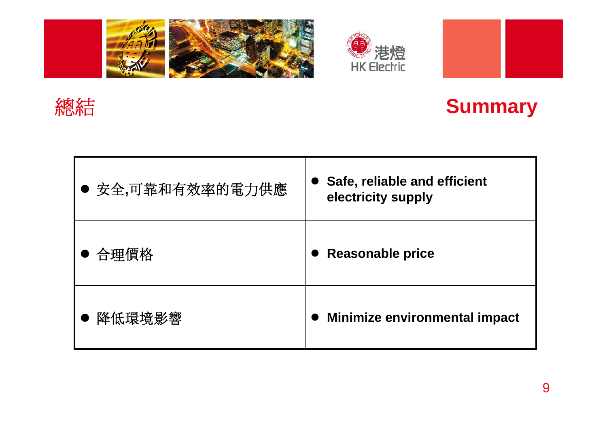







| ● 安全,可靠和有效率的電力供應 | Safe, reliable and efficient<br>electricity supply |
|------------------|----------------------------------------------------|
| 合理價格             | <b>Reasonable price</b>                            |
| 降低環境影響           | <b>Minimize environmental impact</b>               |